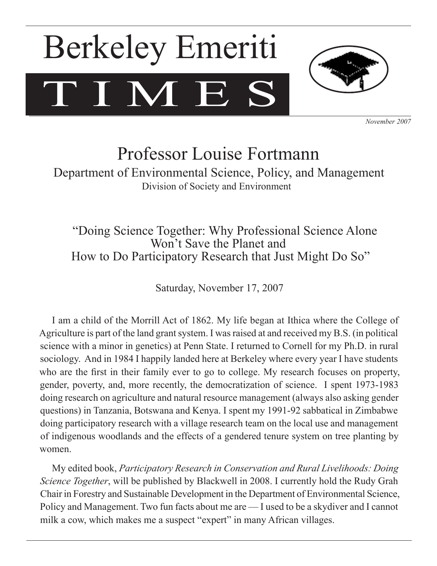# T I M E Berkeley Emeriti



*November 2007*

# Professor Louise Fortmann

Department of Environmental Science, Policy, and Management Division of Society and Environment

"Doing Science Together: Why Professional Science Alone Won't Save the Planet and How to Do Participatory Research that Just Might Do So"

Saturday, November 17, 2007

I am a child of the Morrill Act of 1862. My life began at Ithica where the College of Agriculture is part of the land grant system. I was raised at and received my B.S. (in political science with a minor in genetics) at Penn State. I returned to Cornell for my Ph.D. in rural sociology. And in 1984 I happily landed here at Berkeley where every year I have students who are the first in their family ever to go to college. My research focuses on property, gender, poverty, and, more recently, the democratization of science. I spent 1973-1983 doing research on agriculture and natural resource management (always also asking gender questions) in Tanzania, Botswana and Kenya. I spent my 1991-92 sabbatical in Zimbabwe doing participatory research with a village research team on the local use and management of indigenous woodlands and the effects of a gendered tenure system on tree planting by women.

My edited book, *Participatory Research in Conservation and Rural Livelihoods: Doing Science Together*, will be published by Blackwell in 2008. I currently hold the Rudy Grah Chair in Forestry and Sustainable Development in the Department of Environmental Science, Policy and Management. Two fun facts about me are — I used to be a skydiver and I cannot milk a cow, which makes me a suspect "expert" in many African villages.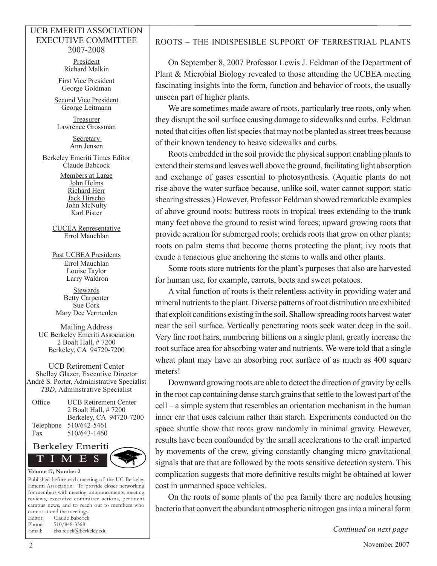#### UCB EMERITI ASSOCIATION EXECUTIVE COMMITTEE 2007-2008

President Richard Malkin

First Vice President George Goldman

Second Vice President George Leitmann

Treasurer Lawrence Grossman

> Secretary Ann Jensen

Berkeley Emeriti Times Editor Claude Babcock

> Members at Large John Helms Richard Herr Jack Hirscho John McNulty Karl Pister

CUCEA Representative Errol Mauchlan

Past UCBEA Presidents Errol Mauchlan Louise Taylor Larry Waldron

Stewards Betty Carpenter Sue Cork Mary Dee Vermeulen

Mailing Address UC Berkeley Emeriti Association 2 Boalt Hall, # 7200 Berkeley, CA 94720-7200

UCB Retirement Center Shelley Glazer, Executive Director André S. Porter, Administrative Specialist *TBD*, Adminstrative Specialist

Office UCB Retirement Center 2 Boalt Hall, # 7200 Berkeley, CA 94720-7200 Telephone 510/642-5461 Fax 510/643-1460



Published before each meeting of the UC Berkeley Emeriti Association: To provide closer networking for members with meeting announcements, meeting reviews, executive committee actions, pertinent campus news, and to reach out to members who cannot attend the meetings. Editor: Claude Babcock Phone: 510/848-3368 Email: cbabcock@berkeley.edu

# ROOTS – THE INDISPESIBLE SUPPORT OF TERRESTRIAL PLANTS

On September 8, 2007 Professor Lewis J. Feldman of the Department of Plant & Microbial Biology revealed to those attending the UCBEA meeting fascinating insights into the form, function and behavior of roots, the usually unseen part of higher plants.

We are sometimes made aware of roots, particularly tree roots, only when they disrupt the soil surface causing damage to sidewalks and curbs. Feldman noted that cities often list species that may not be planted as street trees because of their known tendency to heave sidewalks and curbs.

Roots embedded in the soil provide the physical support enabling plants to extend their stems and leaves well above the ground, facilitating light absorption and exchange of gases essential to photosynthesis. (Aquatic plants do not rise above the water surface because, unlike soil, water cannot support static shearing stresses.) However, Professor Feldman showed remarkable examples of above ground roots: buttress roots in tropical trees extending to the trunk many feet above the ground to resist wind forces; upward growing roots that provide aeration for submerged roots; orchids roots that grow on other plants; roots on palm stems that become thorns protecting the plant; ivy roots that exude a tenacious glue anchoring the stems to walls and other plants.

Some roots store nutrients for the plant's purposes that also are harvested for human use, for example, carrots, beets and sweet potatoes.

A vital function of roots is their relentless activity in providing water and mineral nutrients to the plant. Diverse patterns of root distribution are exhibited that exploit conditions existing in the soil. Shallow spreading roots harvest water near the soil surface. Vertically penetrating roots seek water deep in the soil. Very fine root hairs, numbering billions on a single plant, greatly increase the root surface area for absorbing water and nutrients. We were told that a single wheat plant may have an absorbing root surface of as much as 400 square meters!

Downward growing roots are able to detect the direction of gravity by cells in the root cap containing dense starch grains that settle to the lowest part of the cell – a simple system that resembles an orientation mechanism in the human inner ear that uses calcium rather than starch. Experiments conducted on the space shuttle show that roots grow randomly in minimal gravity. However, results have been confounded by the small accelerations to the craft imparted by movements of the crew, giving constantly changing micro gravitational signals that are that are followed by the roots sensitive detection system. This complication suggests that more definitive results might be obtained at lower cost in unmanned space vehicles.

On the roots of some plants of the pea family there are nodules housing bacteria that convert the abundant atmospheric nitrogen gas into a mineral form

*Continued on next page*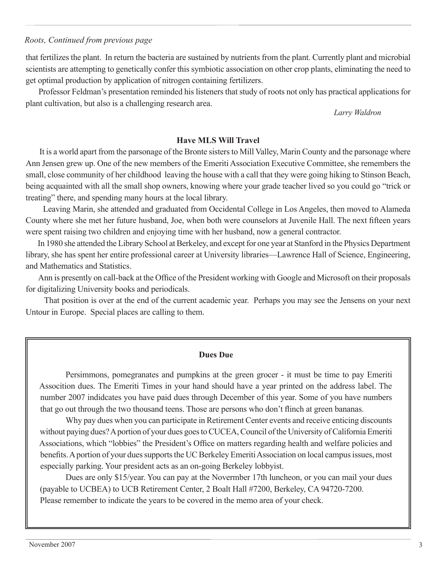# *Roots, Continued from previous page*

that fertilizes the plant. In return the bacteria are sustained by nutrients from the plant. Currently plant and microbial scientists are attempting to genetically confer this symbiotic association on other crop plants, eliminating the need to get optimal production by application of nitrogen containing fertilizers.

Professor Feldman's presentation reminded his listeners that study of roots not only has practical applications for plant cultivation, but also is a challenging research area.

# *Larry Waldron*

# **Have MLS Will Travel**

 It is a world apart from the parsonage of the Bronte sisters to Mill Valley, Marin County and the parsonage where Ann Jensen grew up. One of the new members of the Emeriti Association Executive Committee, she remembers the small, close community of her childhood leaving the house with a call that they were going hiking to Stinson Beach, being acquainted with all the small shop owners, knowing where your grade teacher lived so you could go "trick or treating" there, and spending many hours at the local library.

 Leaving Marin, she attended and graduated from Occidental College in Los Angeles, then moved to Alameda County where she met her future husband, Joe, when both were counselors at Juvenile Hall. The next fifteen years were spent raising two children and enjoying time with her husband, now a general contractor.

 In 1980 she attended the Library School at Berkeley, and except for one year at Stanford in the Physics Department library, she has spent her entire professional career at University libraries—Lawrence Hall of Science, Engineering, and Mathematics and Statistics.

 Ann is presently on call-back at the Office of the President working with Google and Microsoft on their proposals for digitalizing University books and periodicals.

 That position is over at the end of the current academic year. Perhaps you may see the Jensens on your next Untour in Europe. Special places are calling to them.

### **Dues Due**

Persimmons, pomegranates and pumpkins at the green grocer - it must be time to pay Emeriti Assocition dues. The Emeriti Times in your hand should have a year printed on the address label. The number 2007 indidcates you have paid dues through December of this year. Some of you have numbers that go out through the two thousand teens. Those are persons who don't flinch at green bananas.

Why pay dues when you can participate in Retirement Center events and receive enticing discounts without paying dues? A portion of your dues goes to CUCEA, Council of the University of California Emeriti Associations, which "lobbies" the President's Office on matters regarding health and welfare policies and benefits. A portion of your dues supports the UC Berkeley Emeriti Association on local campus issues, most especially parking. Your president acts as an on-going Berkeley lobbyist.

Dues are only \$15/year. You can pay at the Novermber 17th luncheon, or you can mail your dues (payable to UCBEA) to UCB Retirement Center, 2 Boalt Hall #7200, Berkeley, CA 94720-7200. Please remember to indicate the years to be covered in the memo area of your check.